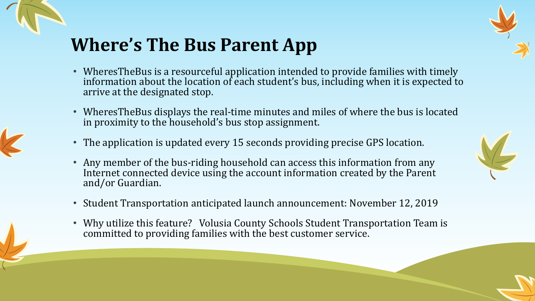



- WheresTheBus is a resourceful application intended to provide families with timely information about the location of each student's bus, including when it is expected to arrive at the designated stop.
- WheresTheBus displays the real-time minutes and miles of where the bus is located in proximity to the household's bus stop assignment.
- The application is updated every 15 seconds providing precise GPS location.
- Any member of the bus-riding household can access this information from any Internet connected device using the account information created by the Parent and/or Guardian.
- Student Transportation anticipated launch announcement: November 12, 2019
- Why utilize this feature? Volusia County Schools Student Transportation Team is committed to providing families with the best customer service.

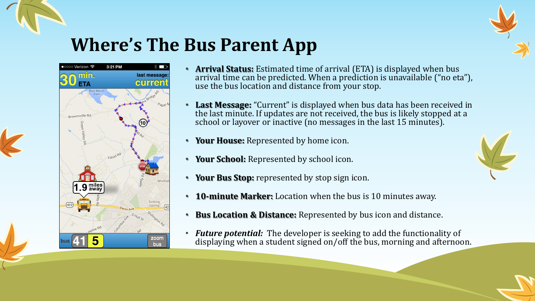



- **Arrival Status:** Estimated time of arrival (ETA) is displayed when bus arrival time can be predicted. When a prediction is unavailable ("no eta"), use the bus location and distance from your stop.
- **Last Message:** "Current" is displayed when bus data has been received in the last minute. If updates are not received, the bus is likely stopped at a school or layover or inactive (no messages in the last 15 minutes).
- **Your House:** Represented by home icon.
- **Your School:** Represented by school icon.
- **Your Bus Stop:** represented by stop sign icon.
- **10-minute Marker:** Location when the bus is 10 minutes away.
- **Bus Location & Distance:** Represented by bus icon and distance.
- *Future potential:* The developer is seeking to add the functionality of displaying when a student signed on/off the bus, morning and afternoon.

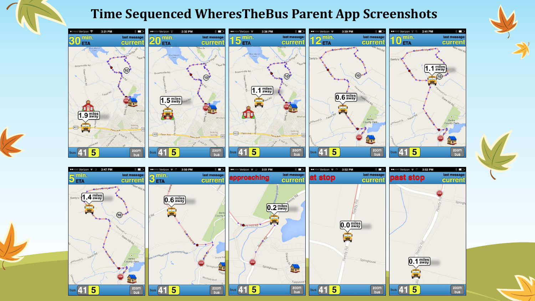### **Time Sequenced WheresTheBus Parent App Screenshots**



 $*$ 





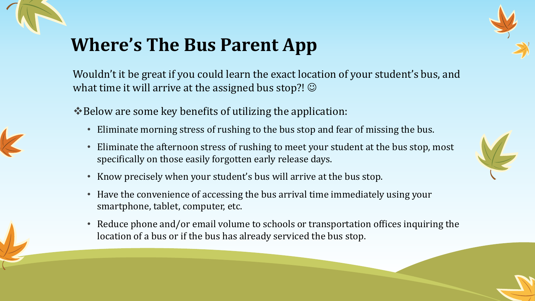



Wouldn't it be great if you could learn the exact location of your student's bus, and what time it will arrive at the assigned bus stop?!  $\odot$ 

❖Below are some key benefits of utilizing the application:

- Eliminate morning stress of rushing to the bus stop and fear of missing the bus.
- Eliminate the afternoon stress of rushing to meet your student at the bus stop, most specifically on those easily forgotten early release days.
- Know precisely when your student's bus will arrive at the bus stop.
- Have the convenience of accessing the bus arrival time immediately using your smartphone, tablet, computer, etc.
- Reduce phone and/or email volume to schools or transportation offices inquiring the location of a bus or if the bus has already serviced the bus stop.